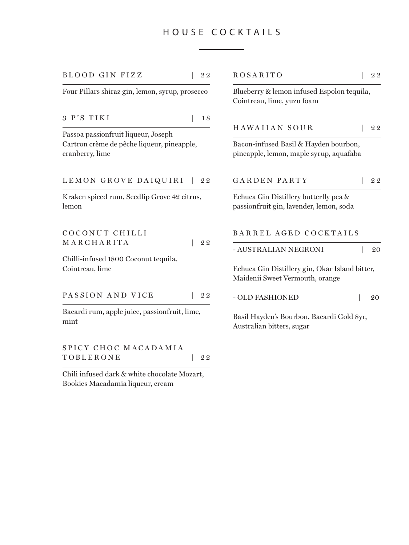# HOUSE COCK TAILS

| <b>BLOOD GIN FIZZ</b>                                         | 22 | <b>ROSARITO</b>                                                                   | 22 |  |
|---------------------------------------------------------------|----|-----------------------------------------------------------------------------------|----|--|
| Four Pillars shiraz gin, lemon, syrup, prosecco               |    | Blueberry & lemon infused Espolon tequila,<br>Cointreau, lime, yuzu foam          |    |  |
| 3 P'S TIKI                                                    | 18 |                                                                                   |    |  |
| Passoa passionfruit liqueur, Joseph                           |    | <b>HAWAIIAN SOUR</b>                                                              | 22 |  |
| Cartron crème de pêche liqueur, pineapple,<br>cranberry, lime |    | Bacon-infused Basil & Hayden bourbon,<br>pineapple, lemon, maple syrup, aquafaba  |    |  |
| LEMON GROVE DAIQUIRI                                          | 22 | <b>GARDEN PARTY</b>                                                               | 22 |  |
| Kraken spiced rum, Seedlip Grove 42 citrus,<br>lemon          |    | Echuca Gin Distillery butterfly pea &<br>passionfruit gin, lavender, lemon, soda  |    |  |
| COCONUT CHILLI                                                |    | BARREL AGED COCKTAILS                                                             |    |  |
| MARGHARITA                                                    | 22 | - AUSTRALIAN NEGRONI                                                              | 20 |  |
| Chilli-infused 1800 Coconut tequila,<br>Cointreau, lime       |    | Echuca Gin Distillery gin, Okar Island bitter,<br>Maidenii Sweet Vermouth, orange |    |  |
| PASSION AND VICE                                              | 22 | - OLD FASHIONED                                                                   | 20 |  |
| Bacardi rum, apple juice, passionfruit, lime,<br>mint         |    | Basil Hayden's Bourbon, Bacardi Gold 8yr,<br>Australian bitters, sugar            |    |  |

SPICY CHOC MACADAMIA TOBLERONE | 22

Chili infused dark & white chocolate Mozart, Bookies Macadamia liqueur, cream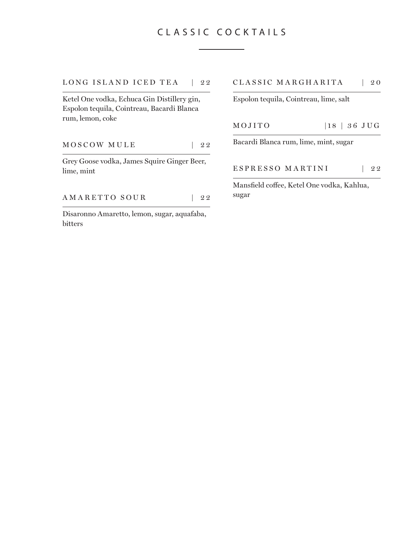# CLASSIC COCK TAILS

LONG ISLAND ICED TEA | 22

Ketel One vodka, Echuca Gin Distillery gin, Espolon tequila, Cointreau, Bacardi Blanca rum, lemon, coke

MOSCOW MULE | 22

Grey Goose vodka, James Squire Ginger Beer, lime, mint

AMARETTO SOUR | 22

Disaronno Amaretto, lemon, sugar, aquafaba, bitters

#### CLASSIC MARGHARITA | 2 0

Espolon tequila, Cointreau, lime, salt

MOJITO |18 | 36 JUG

Bacardi Blanca rum, lime, mint, sugar

ESPRESSO MARTINI | 22

Mansfield coffee, Ketel One vodka, Kahlua, sugar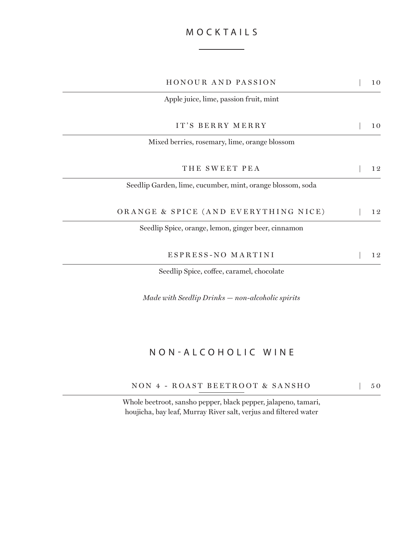# MOCK TAILS

| <b>HONOUR AND PASSION</b>                                  | 10 |
|------------------------------------------------------------|----|
| Apple juice, lime, passion fruit, mint                     |    |
| IT'S BERRY MERRY                                           | 10 |
| Mixed berries, rosemary, lime, orange blossom              |    |
| THE SWEET PEA                                              | 12 |
| Seedlip Garden, lime, cucumber, mint, orange blossom, soda |    |
| ORANGE & SPICE (AND EVERYTHING NICE)                       | 12 |
| Seedlip Spice, orange, lemon, ginger beer, cinnamon        |    |
| ESPRESS-NO MARTINI                                         | 12 |
| Seedlip Spice, coffee, caramel, chocolate                  |    |

*Made with Seedlip Drinks — non-alcoholic spirits*

# NON-ALCOHOLIC WINE

| NON 4 - ROAST BEETROOT & SANSHO |  |  | $\begin{array}{cc} \end{array}$ 50 |
|---------------------------------|--|--|------------------------------------|
|---------------------------------|--|--|------------------------------------|

Whole beetroot, sansho pepper, black pepper, jalapeno, tamari, houjicha, bay leaf, Murray River salt, verjus and filtered water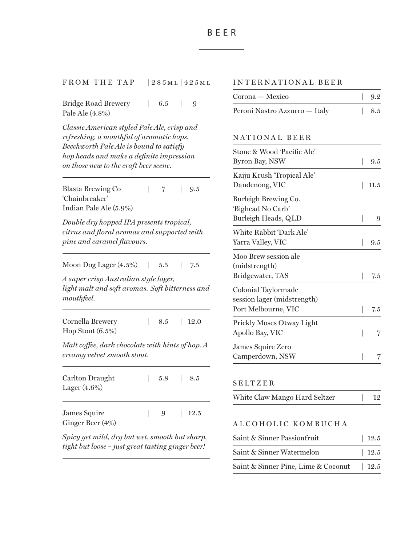FROM THE TAP | 285ML 425ML

Bridge Road Brewery | 6.5 | 9 Pale Ale (4.8%)

*Classic American styled Pale Ale, crisp and refreshing, a mouthful of aromatic hops. Beechworth Pale Ale is bound to satisfy hop heads and make a definite impression on those new to the craft beer scene.*

Blasta Brewing Co  $| 7 | 9.5$ 'Chainbreaker' Indian Pale Ale (5.9%)

*Double dry hopped IPA presents tropical, citrus and floral aromas and supported with pine and caramel flavours.*

Moon Dog Lager (4.5%) | 5.5 | 7.5

*A super crisp Australian style lager, light malt and soft aromas. Soft bitterness and mouthfeel.*

| Cornella Brewery    | 8.5   12.0 |  |
|---------------------|------------|--|
| Hop Stout $(6.5\%)$ |            |  |

*Malt coffee, dark chocolate with hints of hop. A creamy velvet smooth stout.* 

| Carlton Draught<br>Lager $(4.6\%)$ |  | $1, 5.8$ $8.5$ |
|------------------------------------|--|----------------|
| James Squire<br>Ginger Beer (4%)   |  | 9 12.5         |

*Spicy yet mild, dry but wet, smooth but sharp, tight but loose – just great tasting ginger beer!*

# INTERNATIONAL BEER

| Corona — Mexico               | $\vert$ 9.2 |
|-------------------------------|-------------|
| Peroni Nastro Azzurro — Italy | $\vert$ 8.5 |

## NATIONAL BEER

| Stone & Wood 'Pacific Ale'<br>Byron Bay, NSW | 9.5  |
|----------------------------------------------|------|
| Kaiju Krush 'Tropical Ale'                   |      |
| Dandenong, VIC                               | 11.5 |
| Burleigh Brewing Co.                         |      |
| 'Bighead No Carb'                            |      |
| Burleigh Heads, QLD                          | 9    |
| White Rabbit 'Dark Ale'                      |      |
| Yarra Valley, VIC                            | 9.5  |
| Moo Brew session ale                         |      |
| (midstrength)                                |      |
| Bridgewater, TAS                             | 7.5  |
| Colonial Taylormade                          |      |
| session lager (midstrength)                  |      |
| Port Melbourne, VIC                          | 7.5  |
| Prickly Moses Otway Light                    |      |
| Apollo Bay, VIC                              | 7    |
| James Squire Zero                            |      |
| Camperdown, NSW                              |      |

# SELTZER

# ALCOHOLIC KOMBUCHA

| Saint & Sinner Passionfruit         | $\vert$ 12.5 |
|-------------------------------------|--------------|
| Saint & Sinner Watermelon           | 12.5         |
| Saint & Sinner Pine, Lime & Coconut | 12.5         |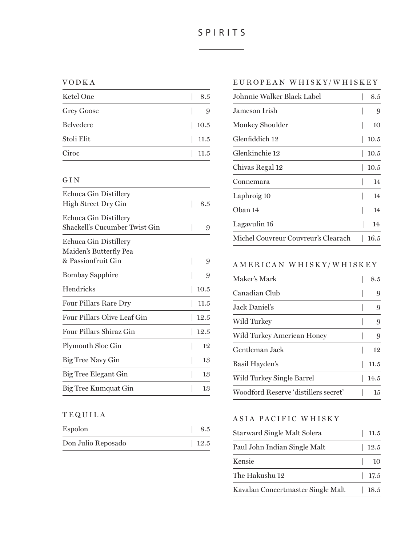# SPIRITS

#### VODKA

| Ketel One         | 8.5  |
|-------------------|------|
| <b>Grey Goose</b> | 9    |
| <b>Belvedere</b>  | 10.5 |
| Stoli Elit        | 11.5 |
| Ciroc             | 11.5 |

## GIN

| Echuca Gin Distillery         |      |
|-------------------------------|------|
| High Street Dry Gin           | 8.5  |
| Echuca Gin Distillery         |      |
| Shackell's Cucumber Twist Gin | 9    |
| Echuca Gin Distillery         |      |
| Maiden's Butterfly Pea        |      |
| & Passionfruit Gin            | 9    |
| Bombay Sapphire               | 9    |
| Hendricks                     | 10.5 |
| <b>Four Pillars Rare Dry</b>  | 11.5 |
| Four Pillars Olive Leaf Gin   | 12.5 |
| Four Pillars Shiraz Gin       | 12.5 |
| Plymouth Sloe Gin             | 12   |
| Big Tree Navy Gin             | 13   |
| Big Tree Elegant Gin          | 13   |
| Big Tree Kumquat Gin          | 13   |

# TEQUILA

| Espolon            | 8.5    |
|--------------------|--------|
| Don Julio Reposado | $12.5$ |

## EUROPEA N WHISK Y/WHISKEY

| Johnnie Walker Black Label.         | 8.5  |
|-------------------------------------|------|
| Jameson Irish                       | 9    |
| Monkey Shoulder                     | 10   |
| Glenfiddich 12                      | 10.5 |
| Glenkinchie 12                      | 10.5 |
| Chivas Regal 12                     | 10.5 |
| Connemara                           | 14   |
| Laphroig 10                         | 14   |
| Oban 14                             | 14   |
| Lagavulin 16                        | 14   |
| Michel Couvreur Couvreur's Clearach | 16.5 |

# A MERICA N WHISK Y/WHISKEY

| Maker's Mark                         | 8.5  |
|--------------------------------------|------|
| Canadian Club                        | 9    |
| Jack Daniel's                        | 9    |
| Wild Turkey                          | 9    |
| Wild Turkey American Honey           | 9    |
| Gentleman Jack                       | 12   |
| Basil Hayden's                       | 11.5 |
| Wild Turkey Single Barrel            | 14.5 |
| Woodford Reserve 'distillers secret' | 15   |

# ASIA PACIFIC WHISKY

| Starward Single Malt Solera       | 11.5   |
|-----------------------------------|--------|
| Paul John Indian Single Malt      | $12.5$ |
| Kensie                            | 10     |
| The Hakushu 12                    | 17.5   |
| Kavalan Concertmaster Single Malt | 18.5   |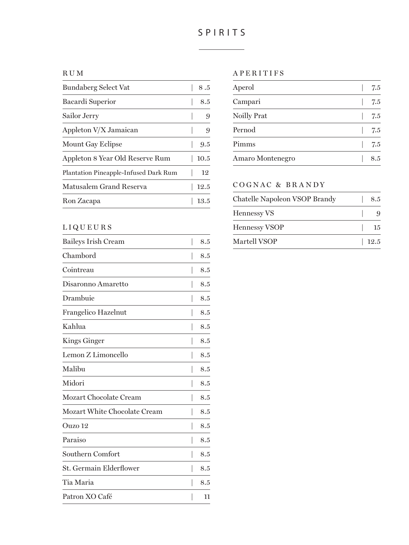# SPIRITS

#### RUM

| Bundaberg Select Vat                  | 8.5  |
|---------------------------------------|------|
| Bacardi Superior                      | 8.5  |
| Sailor Jerry                          | 9    |
| Appleton V/X Jamaican                 | 9    |
| Mount Gay Eclipse                     | 9.5  |
| Appleton 8 Year Old Reserve Rum       | 10.5 |
| Plantation Pineapple-Infused Dark Rum | 12   |
| Matusalem Grand Reserva               | 12.5 |
| Ron Zacapa                            | 13.5 |
|                                       |      |

## LIQUEURS

| <b>Baileys Irish Cream</b>   | 8.5 |
|------------------------------|-----|
| Chambord                     | 8.5 |
| Cointreau                    | 8.5 |
| Disaronno Amaretto           | 8.5 |
| Drambuie                     | 8.5 |
| Frangelico Hazelnut          | 8.5 |
| Kahlua                       | 8.5 |
| Kings Ginger                 | 8.5 |
| Lemon Z Limoncello           | 8.5 |
| Malibu                       | 8.5 |
| Midori                       | 8.5 |
| Mozart Chocolate Cream       | 8.5 |
| Mozart White Chocolate Cream | 8.5 |
| Ouzo 12                      | 8.5 |
| Paraiso                      | 8.5 |
| Southern Comfort             | 8.5 |
| St. Germain Elderflower      | 8.5 |
| Tia Maria                    | 8.5 |
| Patron XO Café               | 11  |

## APERITIFS

| Aperol             | 7.5 |
|--------------------|-----|
| Campari            | 7.5 |
| <b>Noilly Prat</b> | 7.5 |
| Pernod             | 7.5 |
| Pimms              | 7.5 |
| Amaro Montenegro   | 85  |

# COGNAC & BRANDY

| Chatelle Napoleon VSOP Brandy | 8.5  |
|-------------------------------|------|
| <b>Hennessy VS</b>            | 9    |
| <b>Hennessy VSOP</b>          | -15  |
| Martell VSOP                  | 12.5 |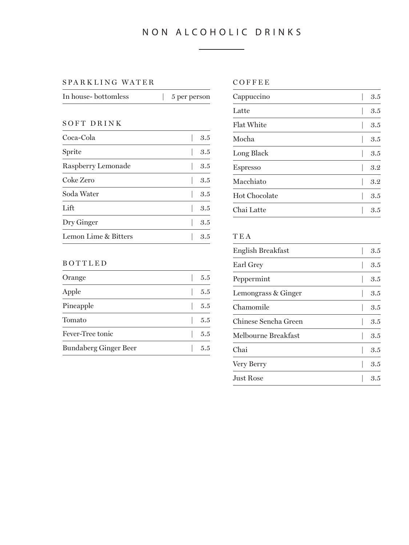# NON ALCOHOLIC DRINKS

#### SPARKLING WATER COFFEE

| In house- bottomless | 5 per person |
|----------------------|--------------|
|                      |              |

## SOFT DRINK

| Coca-Cola            | 3.5 |
|----------------------|-----|
| Sprite               | 3.5 |
| Raspberry Lemonade   | 3.5 |
| Coke Zero            | 3.5 |
| Soda Water           | 3.5 |
| Lift                 | 3.5 |
| Dry Ginger           | 3.5 |
| Lemon Lime & Bitters | 3.5 |
|                      |     |

## BOTTLED

| Orange                       | 5.5 |
|------------------------------|-----|
| Apple                        | 5.5 |
| Pineapple                    | 5.5 |
| Tomato                       | 5.5 |
| Fever-Tree tonic             | 5.5 |
| <b>Bundaberg Ginger Beer</b> | 55  |

| Cappuccino        | 3.5 |
|-------------------|-----|
| Latte             | 3.5 |
| <b>Flat White</b> | 3.5 |
| Mocha             | 3.5 |
| Long Black        | 3.5 |
| <b>Espresso</b>   | 3.2 |
| Macchiato         | 3.2 |
| Hot Chocolate     | 3.5 |
| Chai Latte        | 3.5 |

# TEA

| English Breakfast    | 3.5 |
|----------------------|-----|
| Earl Grey            | 3.5 |
| Peppermint           | 3.5 |
| Lemongrass & Ginger  | 3.5 |
| Chamomile            | 3.5 |
| Chinese Sencha Green | 3.5 |
| Melbourne Breakfast  | 3.5 |
| Chai                 | 3.5 |
| Very Berry           | 3.5 |
| Just Rose            | 3.5 |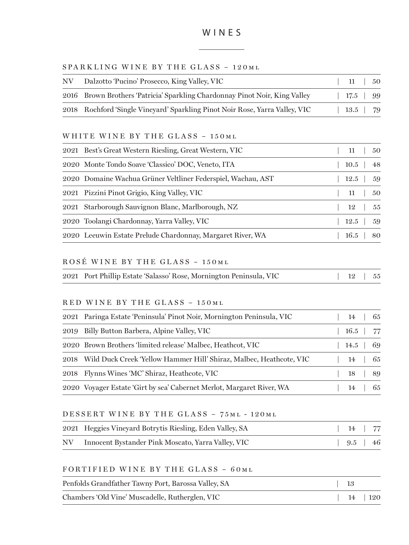#### SPARKLING WINE BY THE GLASS - 120ML

| NV | Dalzotto 'Pucino' Prosecco, King Valley, VIC                                 | - 11 -  | 50  |
|----|------------------------------------------------------------------------------|---------|-----|
|    | 2016 Brown Brothers 'Patricia' Sparkling Chardonnay Pinot Noir, King Valley  | 17.5 99 |     |
|    | 2018 Rochford 'Single Vineyard' Sparkling Pinot Noir Rose, Yarra Valley, VIC | $13.5$  | -79 |

#### WHITE WINE BY THE GLASS - 150ML

| 2021 Best's Great Western Riesling, Great Western, VIC       |  |  |                                                                                                                                        |
|--------------------------------------------------------------|--|--|----------------------------------------------------------------------------------------------------------------------------------------|
| 2020 Monte Tondo Soave 'Classico' DOC, Veneto, ITA           |  |  |                                                                                                                                        |
| 2020 Domaine Wachua Grüner Veltliner Federspiel, Wachau, AST |  |  |                                                                                                                                        |
| 2021 Pizzini Pinot Grigio, King Valley, VIC                  |  |  |                                                                                                                                        |
| 2021 Starborough Sauvignon Blanc, Marlborough, NZ            |  |  |                                                                                                                                        |
| 2020 Toolangi Chardonnay, Yarra Valley, VIC                  |  |  |                                                                                                                                        |
| 2020 Leeuwin Estate Prelude Chardonnay, Margaret River, WA   |  |  |                                                                                                                                        |
|                                                              |  |  | $11 \quad 50$<br>$10.5$   48<br>$12.5 \quad 59$<br>11   50<br>$12 \quad \begin{array}{c} 55 \end{array}$<br>$12.5$   59<br>$16.5$   80 |

# ROSÉ WINE BY THE GLASS - 150ML

|  | 2021 Port Phillip Estate 'Salasso' Rose, Mornington Peninsula, VIC | $12$   $55$ |
|--|--------------------------------------------------------------------|-------------|
|--|--------------------------------------------------------------------|-------------|

#### RED WINE BY THE GLASS - 150 ML

|      | 2021 Paringa Estate 'Peninsula' Pinot Noir, Mornington Peninsula, VIC |  | 14 | 65            |
|------|-----------------------------------------------------------------------|--|----|---------------|
| 2019 | Billy Button Barbera, Alpine Valley, VIC                              |  |    | $16.5$   $77$ |
|      | 2020 Brown Brothers 'limited release' Malbec, Heathcot, VIC           |  |    | $14.5 \pm 69$ |
| 2018 | Wild Duck Creek 'Yellow Hammer Hill' Shiraz, Malbec, Heathcote, VIC   |  |    | 14   65       |
|      | 2018 Flynns Wines 'MC' Shiraz, Heathcote, VIC                         |  |    | 18   89       |
|      | 2020 Voyager Estate Girt by sea' Cabernet Merlot, Margaret River, WA  |  | 14 | - 65          |

## DESSERT WINE BY THE GLASS – 75 ml - 120ml

| 2021 Heggies Vineyard Botrytis Riesling, Eden Valley, SA | $14$ 77               |  |
|----------------------------------------------------------|-----------------------|--|
| NV Innocent Bystander Pink Moscato, Yarra Valley, VIC    | $9.5 \, \times \, 46$ |  |

#### FORTIFIED WINE BY THE GLASS - 60ML

| Penfolds Grandfather Tawny Port, Barossa Valley, SA | - 13 |          |
|-----------------------------------------------------|------|----------|
| Chambers 'Old Vine' Muscadelle, Rutherglen, VIC     |      | 14   120 |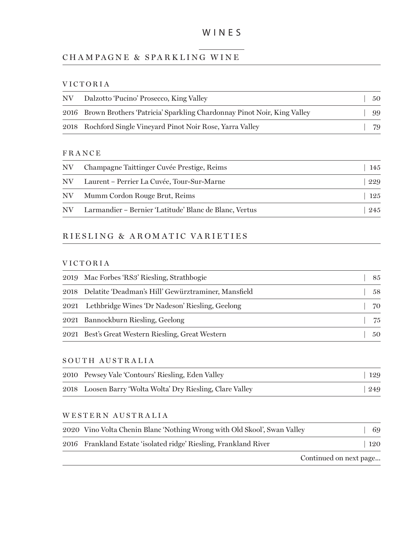# CHAMPAGNE & SPARKLING WINE

## VICTORIA

| NV. | Dalzotto 'Pucino' Prosecco, King Valley                                     | 50  |
|-----|-----------------------------------------------------------------------------|-----|
|     | 2016 Brown Brothers 'Patricia' Sparkling Chardonnay Pinot Noir, King Valley | .99 |
|     | 2018 Rochford Single Vineyard Pinot Noir Rose, Yarra Valley                 | 79  |

#### FRANCE

| NV. | Champagne Taittinger Cuvée Prestige, Reims             | 145 |
|-----|--------------------------------------------------------|-----|
| NV. | - Laurent – Perrier La Cuvée, Tour-Sur-Marne           | 229 |
| NV. | Mumm Cordon Rouge Brut, Reims                          | 125 |
| NV. | Larmandier – Bernier 'Latitude' Blanc de Blanc, Vertus | 245 |

# RIESLING & A ROM ATIC VA RIETIES

#### VICTORIA

| 2019 Mac Forbes 'RS3' Riesling, Strathbogie              | 85 |
|----------------------------------------------------------|----|
| 2018 Delatite 'Deadman's Hill' Gewürztraminer, Mansfield | 58 |
| 2021 Lethbridge Wines 'Dr Nadeson' Riesling, Geelong     | 70 |
| 2021 Bannockburn Riesling, Geelong                       | 75 |
| 2021 Best's Great Western Riesling, Great Western        | 50 |

### SOUTH AUSTRALIA

| 2010 Pewsey Vale 'Contours' Riesling, Eden Valley          | $\mid$ 129 |
|------------------------------------------------------------|------------|
| 2018 Loosen Barry 'Wolta Wolta' Dry Riesling, Clare Valley | 249        |

#### WESTERN AUSTRALIA

| 2020 Vino Volta Chenin Blanc 'Nothing Wrong with Old Skool', Swan Valley | 69                     |
|--------------------------------------------------------------------------|------------------------|
| 2016 Frankland Estate 'isolated ridge' Riesling, Frankland River         | 120                    |
|                                                                          | Continued on next page |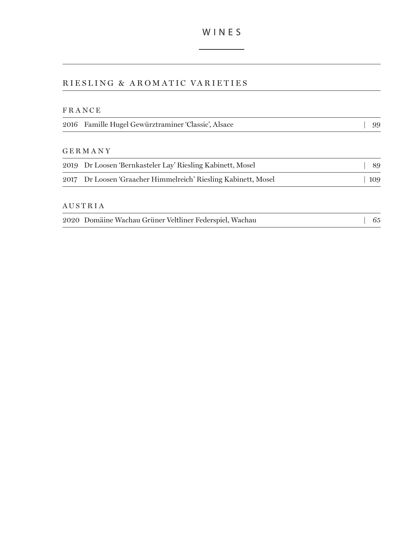# RIESLING & AROMATIC VARIETIES

## FRANCE

|  | 2016 Famille Hugel Gewürztraminer 'Classic', Alsace | $\vert$ 99 |
|--|-----------------------------------------------------|------------|
|--|-----------------------------------------------------|------------|

#### GERMANY

| 2019 Dr Loosen 'Bernkasteler Lay' Riesling Kabinett, Mosel     | 89  |
|----------------------------------------------------------------|-----|
| 2017 Dr Loosen 'Graacher Himmelreich' Riesling Kabinett, Mosel | 109 |

#### AUSTRIA

|  | 2020 Domäine Wachau Grüner Veltliner Federspiel, Wachau |  |  | $\frac{1}{65}$ |  |
|--|---------------------------------------------------------|--|--|----------------|--|
|--|---------------------------------------------------------|--|--|----------------|--|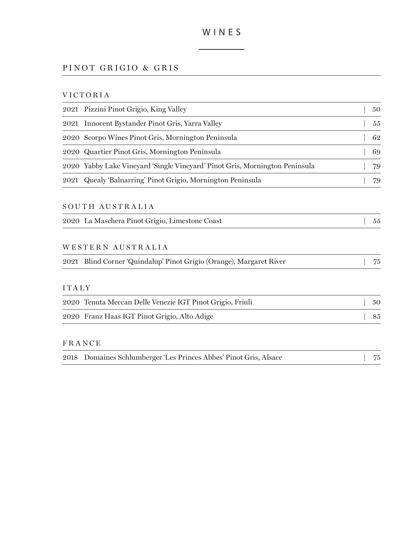# PINOT GRIGIO & GRIS

# VICTORIA

| 2021 Pizzini Pinot Grigio, King Valley                                      | 50 |
|-----------------------------------------------------------------------------|----|
| Innocent Bystander Pinot Gris, Yarra Valley<br>2021                         | 55 |
| Scorpo Wines Pinot Gris, Mornington Peninsula<br>2020                       | 62 |
| 2020 Quartier Pinot Gris, Mornington Peninsula                              | 69 |
| 2020 Yabby Lake Vineyard 'Single Vineyard' Pinot Gris, Mornington Peninsula | 79 |
| Quealy 'Balnarring' Pinot Grigio, Mornington Peninsula<br>2021              | 79 |
| SOUTH AUSTRALIA                                                             |    |
| 2020 La Maschera Pinot Grigio, Limestone Coast                              | 55 |
| WESTERN AUSTRALIA                                                           |    |
| 2021 Blind Corner 'Quindalup' Pinot Grigio (Orange), Margaret River         | 75 |
| <b>ITALY</b>                                                                |    |
| 2020 Tenuta Meccan Delle Venezie IGT Pinot Grigio, Friuli                   | 50 |
| 2020 Franz Haas IGT Pinot Grigio, Alto Adige                                | 85 |
| <b>FRANCE</b>                                                               |    |
| Domaines Schlumberger 'Les Princes Abbes' Pinot Gris, Alsace<br>2018        | 75 |
|                                                                             |    |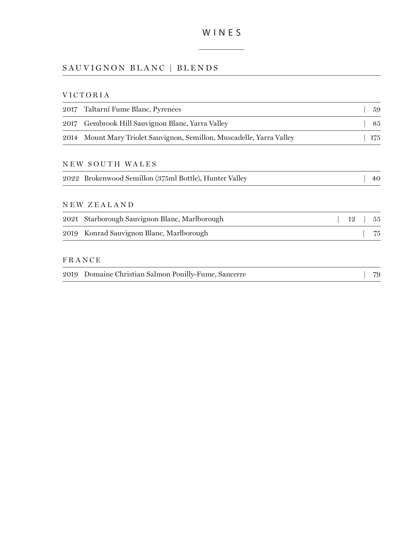# SAUVIGNON BLANC | BLENDS

# VICTORIA

| 2017 | Taltarni Fume Blanc, Pyrenees                                    |    | 59  |
|------|------------------------------------------------------------------|----|-----|
| 2017 | Gembrook Hill Sauvignon Blanc, Yarra Valley                      |    | 85  |
| 2014 | Mount Mary Triolet Sauvignon, Semillon, Muscadelle, Yarra Valley |    | 175 |
|      | NEW SOUTH WALES                                                  |    |     |
|      | 2022 Brokenwood Semillon (375ml Bottle), Hunter Valley           |    | 40  |
|      | NEW ZEALAND                                                      |    |     |
| 2021 | Starborough Sauvignon Blanc, Marlborough                         | 12 | 55  |
| 2019 | Konrad Sauvignon Blanc, Marlborough                              |    | 75  |
|      | <b>FRANCE</b>                                                    |    |     |
|      | 2019 Domaine Christian Salmon Pouilly-Fume, Sancerre             |    | 79  |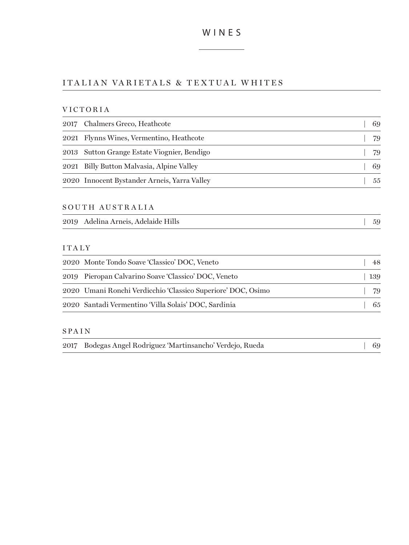# ITA LI A N VA RIETA LS & TE X TUA L W HITES

#### VICTORIA

| 2017 Chalmers Greco, Heathcote               | 69 |
|----------------------------------------------|----|
| 2021 Flynns Wines, Vermentino, Heathcote     | 79 |
| 2013 Sutton Grange Estate Viognier, Bendigo  | 79 |
| 2021 Billy Button Malvasia, Alpine Valley    | 69 |
| 2020 Innocent Bystander Arneis, Yarra Valley | 55 |

#### SOUTH AUSTRALIA

|  | 2019 Adelina Arneis, Adelaide Hills |  |
|--|-------------------------------------|--|
|--|-------------------------------------|--|

#### ITALY

| 2020 Monte Tondo Soave 'Classico' DOC, Veneto                | 48  |
|--------------------------------------------------------------|-----|
| 2019 Pieropan Calvarino Soave 'Classico' DOC, Veneto         | 139 |
| 2020 Umani Ronchi Verdicchio 'Classico Superiore' DOC, Osimo | 79  |
| 2020 Santadi Vermentino 'Villa Solais' DOC, Sardinia         | 65  |

#### SPAIN

|  | 2017 Bodegas Angel Rodriguez 'Martinsancho' Verdejo, Rueda |  | $\begin{array}{cc} \boxed{69} \end{array}$ |  |
|--|------------------------------------------------------------|--|--------------------------------------------|--|
|--|------------------------------------------------------------|--|--------------------------------------------|--|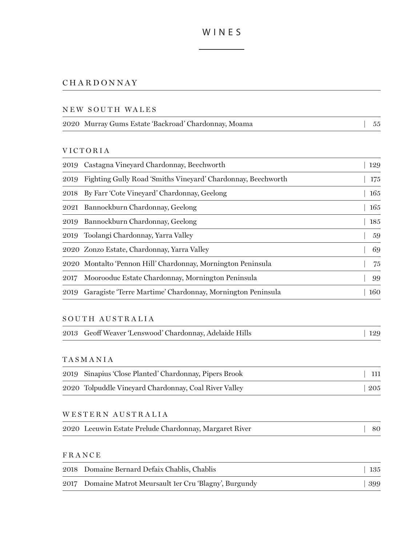# CHARDONNAY

#### NEW SOUTH WALES

| 2020 Murray Gums Estate 'Backroad' Chardonnay, Moama | - 55 |
|------------------------------------------------------|------|
|------------------------------------------------------|------|

#### VICTORIA

| 2019 | Castagna Vineyard Chardonnay, Beechworth                     | 129 |
|------|--------------------------------------------------------------|-----|
| 2019 | Fighting Gully Road 'Smiths Vinevard' Chardonnay, Beechworth | 175 |
| 2018 | By Farr 'Cote Vineyard' Chardonnay, Geelong                  | 165 |
|      | 2021 Bannockburn Chardonnay, Geelong                         | 165 |
|      | 2019 Bannockburn Chardonnay, Geelong                         | 185 |
|      | 2019 Toolangi Chardonnay, Yarra Valley                       | 59  |
|      | 2020 Zonzo Estate, Chardonnay, Yarra Valley                  | 69  |
|      | 2020 Montalto 'Pennon Hill' Chardonnay, Mornington Peninsula | 75  |
| 2017 | Moorooduc Estate Chardonnay, Mornington Peninsula            | 99  |
| 2019 | Garagiste 'Terre Martime' Chardonnay, Mornington Peninsula   | 160 |
|      |                                                              |     |

#### SOUTH AUSTRALIA

|  | 2013 Geoff Weaver 'Lenswood' Chardonnay, Adelaide Hills | 129 |
|--|---------------------------------------------------------|-----|
|--|---------------------------------------------------------|-----|

# TASMANIA

| 2019 Sinapius 'Close Planted' Chardonnay, Pipers Brook | $\perp$ 111 |
|--------------------------------------------------------|-------------|
| 2020 Tolpuddle Vineyard Chardonnay, Coal River Valley  | 205         |

## WESTERN AUSTRALIA

|  | 2020 Leeuwin Estate Prelude Chardonnay, Margaret River | 80 |  |
|--|--------------------------------------------------------|----|--|
|--|--------------------------------------------------------|----|--|

| 2018 Domaine Bernard Defaix Chablis, Chablis             | 135 |
|----------------------------------------------------------|-----|
| 2017 Domaine Matrot Meursault 1er Cru 'Blagny', Burgundy | 399 |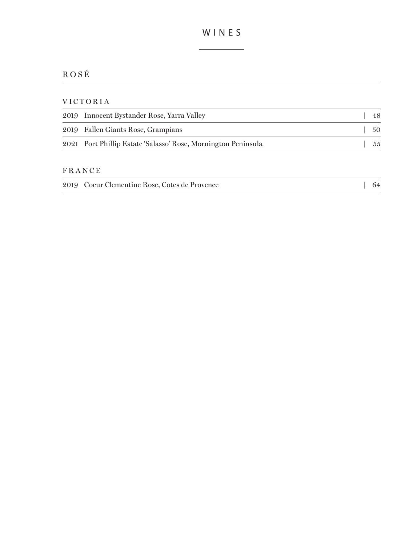# ROSÉ

## VICTORIA

| 2019 Innocent Bystander Rose, Yarra Valley                    | 48 |
|---------------------------------------------------------------|----|
| 2019 Fallen Giants Rose, Grampians                            | 50 |
| 2021 Port Phillip Estate 'Salasso' Rose, Mornington Peninsula | 55 |

|  | 2019 Coeur Clementine Rose, Cotes de Provence | - 64 |
|--|-----------------------------------------------|------|
|--|-----------------------------------------------|------|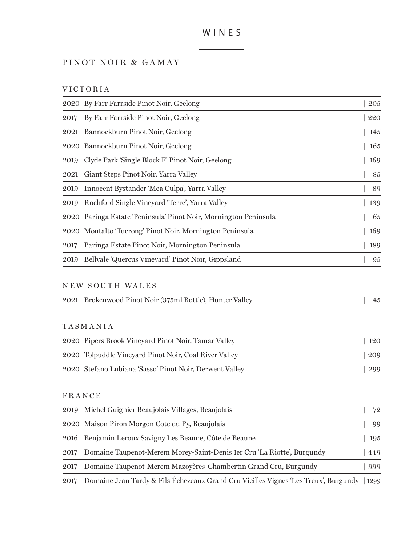# PINOT NOIR & GAMAY

VICTORIA

|      | 2020 By Farr Farrside Pinot Noir, Geelong                        | 205 |
|------|------------------------------------------------------------------|-----|
| 2017 | By Farr Farrside Pinot Noir, Geelong                             | 220 |
|      | 2021 Bannockburn Pinot Noir, Geelong                             | 145 |
|      | 2020 Bannockburn Pinot Noir, Geelong                             | 165 |
| 2019 | Clyde Park 'Single Block F' Pinot Noir, Geelong                  | 169 |
| 2021 | Giant Steps Pinot Noir, Yarra Valley                             | 85  |
| 2019 | Innocent Bystander 'Mea Culpa', Yarra Valley                     | 89  |
| 2019 | Rochford Single Vineyard 'Terre', Yarra Valley                   | 139 |
|      | 2020 Paringa Estate 'Peninsula' Pinot Noir, Mornington Peninsula | 65  |
|      | 2020 Montalto 'Tuerong' Pinot Noir, Mornington Peninsula         | 169 |
| 2017 | Paringa Estate Pinot Noir, Mornington Peninsula                  | 189 |
| 2019 | Bellvale 'Quercus Vineyard' Pinot Noir, Gippsland                | 95  |
|      |                                                                  |     |

## NEW SOUTH WALES

|  | 2021 Brokenwood Pinot Noir (375ml Bottle), Hunter Valley | $\frac{1}{45}$ |  |
|--|----------------------------------------------------------|----------------|--|
|--|----------------------------------------------------------|----------------|--|

#### TASMANIA

| 2020 Pipers Brook Vinevard Pinot Noir, Tamar Valley     | 120 |
|---------------------------------------------------------|-----|
| 2020 Tolpuddle Vineyard Pinot Noir, Coal River Valley   | 209 |
| 2020 Stefano Lubiana 'Sasso' Pinot Noir, Derwent Valley | 299 |

|      | 2019 Michel Guignier Beaujolais Villages, Beaujolais                                            | 72  |
|------|-------------------------------------------------------------------------------------------------|-----|
|      | 2020 Maison Piron Morgon Cote du Py, Beaujolais                                                 | 99  |
|      | 2016 Benjamin Leroux Savigny Les Beaune, Côte de Beaune                                         | 195 |
| 2017 | Domaine Taupenot-Merem Morey-Saint-Denis 1 er Cru 'La Riotte', Burgundy                         | 449 |
| 2017 | Domaine Taupenot-Merem Mazoyères-Chambertin Grand Cru, Burgundy                                 | 999 |
|      | 2017 Domaine Jean Tardy & Fils Échezeaux Grand Cru Vieilles Vignes 'Les Treux', Burgundy   1299 |     |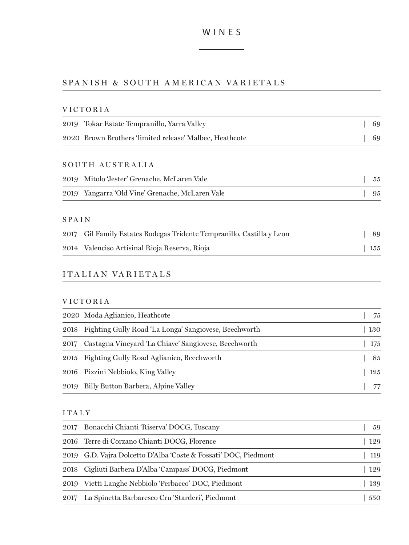# SPANISH & SOUTH AMERICAN VARIETALS

## VICTORIA

| 2019 Tokar Estate Tempranillo, Yarra Valley             | -69 |
|---------------------------------------------------------|-----|
| 2020 Brown Brothers 'limited release' Malbec, Heathcote | -69 |

# SOUTH AUSTRALIA

| 2019 Mitolo Jester' Grenache, McLaren Vale      | - 55 |
|-------------------------------------------------|------|
| 2019 Yangarra 'Old Vine' Grenache, McLaren Vale | -95  |

## SPAIN

| 2017 Gil Family Estates Bodegas Tridente Tempranillo, Castilla y Leon | -89         |
|-----------------------------------------------------------------------|-------------|
| 2014 Valenciso Artisinal Rioja Reserva, Rioja                         | $\vert$ 155 |

# ITA LI A N VA RIETA LS

# VICTORIA

|      | 2020 Moda Aglianico, Heathcote                        | 75  |
|------|-------------------------------------------------------|-----|
| 2018 | Fighting Gully Road 'La Longa' Sangiovese, Beechworth | 130 |
| 2017 | Castagna Vineyard 'La Chiave' Sangiovese, Beechworth  | 175 |
| 2015 | Fighting Gully Road Aglianico, Beechworth             | 85  |
|      | 2016 Pizzini Nebbiolo, King Valley                    | 125 |
| 2019 | Billy Button Barbera, Alpine Valley                   |     |

#### ITALY

|      | 2017 Bonacchi Chianti 'Riserva' DOCG, Tuscany              | 59  |
|------|------------------------------------------------------------|-----|
|      | 2016 Terre di Corzano Chianti DOCG, Florence               | 129 |
| 2019 | G.D. Vajra Dolcetto D'Alba 'Coste & Fossati' DOC, Piedmont | 119 |
| 2018 | Cigliuti Barbera D'Alba 'Campass' DOCG, Piedmont           | 129 |
| 2019 | Vietti Langhe Nebbiolo 'Perbacco' DOC, Piedmont            | 139 |
| 2017 | La Spinetta Barbaresco Cru 'Starderi', Piedmont            | 550 |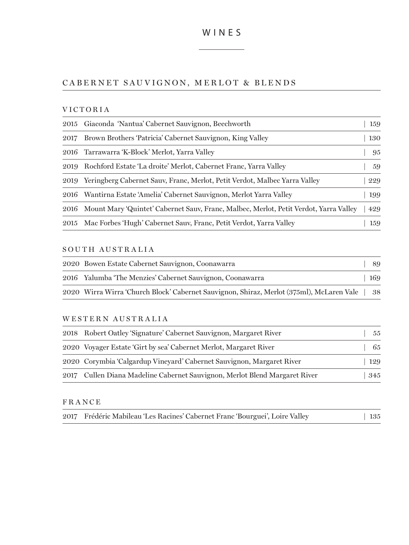# CABERNET SAUVIGNON, MERLOT & BLENDS

## VICTORIA

|      | 2015 Giaconda 'Nantua' Cabernet Sauvignon, Beechworth                                      | 159 |
|------|--------------------------------------------------------------------------------------------|-----|
| 2017 | Brown Brothers 'Patricia' Cabernet Sauvignon, King Valley                                  | 130 |
|      | 2016 Tarrawarra 'K-Block' Merlot, Yarra Valley                                             | 95  |
| 2019 | Rochford Estate 'La droite' Merlot, Cabernet Franc, Yarra Valley                           | 59  |
| 2019 | Yeringberg Cabernet Sauv, Franc, Merlot, Petit Verdot, Malbec Yarra Valley                 | 229 |
| 2016 | Wantirna Estate 'Amelia' Cabernet Sauvignon, Merlot Yarra Valley                           | 199 |
|      | 2016 Mount Mary 'Quintet' Cabernet Sauv, Franc, Malbec, Merlot, Petit Verdot, Yarra Valley | 429 |
| 2015 | Mac Forbes 'Hugh' Cabernet Sauv, Franc, Petit Verdot, Yarra Valley                         | 159 |

#### SOUTH AUSTRALIA

| 2020 Bowen Estate Cabernet Sauvignon, Coonawarra                                              |      |
|-----------------------------------------------------------------------------------------------|------|
| 2016 Yalumba 'The Menzies' Cabernet Sauvignon, Coonawarra                                     | -169 |
| 2020 Wirra Wirra 'Church Block' Cabernet Sauvignon, Shiraz, Merlot (375ml), McLaren Vale   38 |      |

#### WESTERN AUSTRALIA

| 2018 Robert Oatley 'Signature' Cabernet Sauvignon, Margaret River          | 55  |
|----------------------------------------------------------------------------|-----|
| 2020 Voyager Estate 'Girt by sea' Cabernet Merlot, Margaret River          | 65  |
| 2020 Corymbia 'Calgardup Vineyard' Cabernet Sauvignon, Margaret River      | 129 |
| 2017 Cullen Diana Madeline Cabernet Sauvignon, Merlot Blend Margaret River | 345 |

|  | 2017 Frédéric Mabileau 'Les Racines' Cabernet Franc 'Bourguei', Loire Valley |  |  |  |  | 135 |
|--|------------------------------------------------------------------------------|--|--|--|--|-----|
|--|------------------------------------------------------------------------------|--|--|--|--|-----|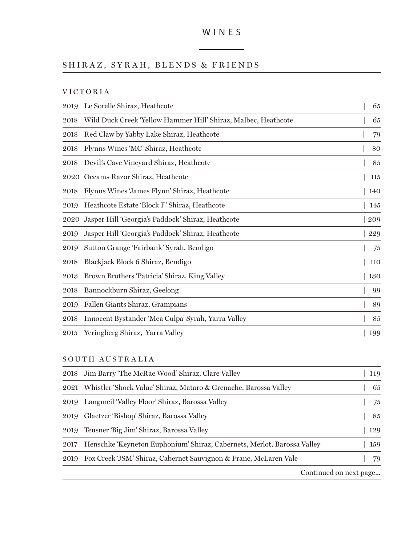$\overline{\phantom{a}}$ 

# SHIRAZ, SYRAH, BLENDS & FRIENDS

|  |  |  |  |  | VICTORIA |  |  |  |
|--|--|--|--|--|----------|--|--|--|
|--|--|--|--|--|----------|--|--|--|

| 2019 | Le Sorelle Shiraz, Heathcote                                   | 65  |
|------|----------------------------------------------------------------|-----|
| 2018 | Wild Duck Creek 'Yellow Hammer Hill' Shiraz, Malbec, Heathcote | 65  |
| 2018 | Red Claw by Yabby Lake Shiraz, Heathcote                       | 79  |
| 2018 | Flynns Wines 'MC' Shiraz, Heathcote                            | 80  |
| 2018 | Devil's Cave Vineyard Shiraz, Heathcote                        | 85  |
| 2020 | Occams Razor Shiraz, Heathcote                                 | 115 |
| 2018 | Flynns Wines 'James Flynn' Shiraz, Heathcote                   | 140 |
| 2019 | Heathcote Estate 'Block F' Shiraz, Heathcote                   | 145 |
| 2020 | Jasper Hill 'Georgia's Paddock' Shiraz, Heathcote              | 209 |
| 2019 | Jasper Hill 'Georgia's Paddock' Shiraz, Heathcote              | 229 |
| 2019 | Sutton Grange 'Fairbank' Syrah, Bendigo                        | 75  |
| 2018 | Blackjack Block 6 Shiraz, Bendigo                              | 110 |
| 2013 | Brown Brothers 'Patricia' Shiraz, King Valley                  | 130 |
| 2018 | Bannockburn Shiraz, Geelong                                    | 99  |
| 2019 | Fallen Giants Shiraz, Grampians                                | 89  |
| 2018 | Innocent Bystander 'Mea Culpa' Syrah, Yarra Valley             | 85  |
| 2015 | Yeringberg Shiraz, Yarra Valley                                | 199 |

SOUTH AUSTRALIA

|      | 2018 Jim Barry 'The McRae Wood' Shiraz, Clare Valley                    | 149                    |
|------|-------------------------------------------------------------------------|------------------------|
| 2021 | Whistler 'Shock Value' Shiraz, Mataro & Grenache, Barossa Valley        | 65                     |
| 2019 | Langmeil 'Valley Floor' Shiraz, Barossa Valley                          | 75                     |
| 2019 | Glaetzer 'Bishop' Shiraz, Barossa Valley                                | 85                     |
| 2019 | Teusner 'Big Jim' Shiraz, Barossa Valley                                | 129                    |
| 2017 | Henschke 'Keyneton Euphonium' Shiraz, Cabernets, Merlot, Barossa Valley | 159                    |
| 2019 | Fox Creek 'JSM' Shiraz, Cabernet Sauvignon & Franc, McLaren Vale        | 79                     |
|      |                                                                         | Continued on next page |